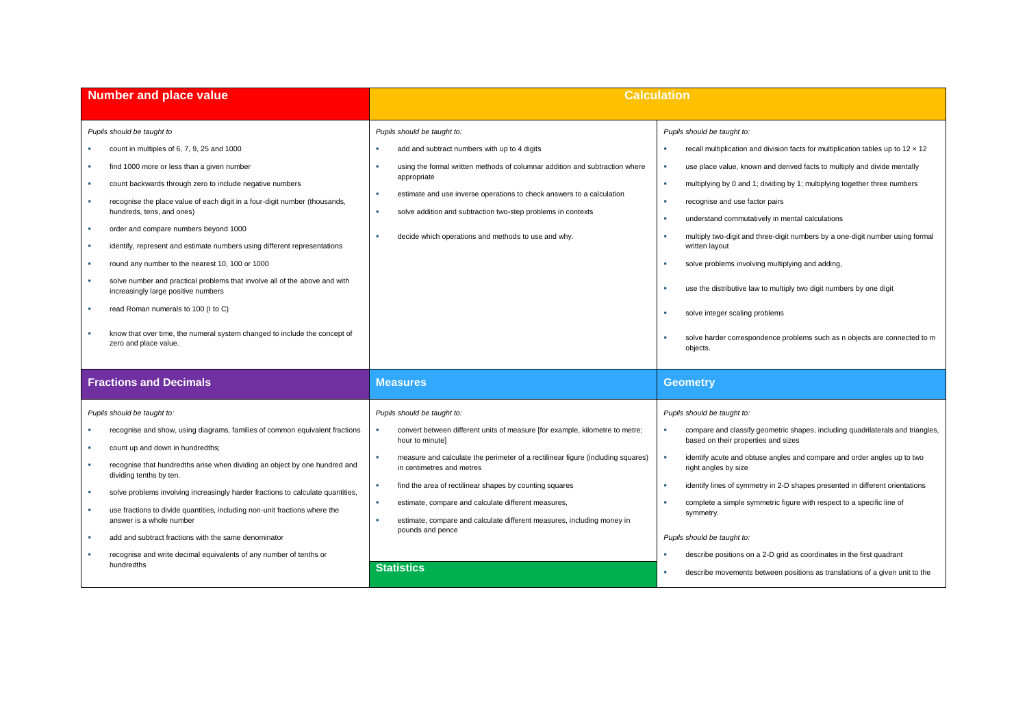| <b>Number and place value</b>                                                                                                                                                                                                                                                                                                                                                                                                                                                                                                                                                                                                                                                                                                           | <b>Calculation</b>                                                                                                                                                                                                                                                                                                                                                                                                                                             |                                                                                                                                                                                                                                                                                                                                                                                                                                                                                                                                                                                                                                                                                                                                                                            |  |  |
|-----------------------------------------------------------------------------------------------------------------------------------------------------------------------------------------------------------------------------------------------------------------------------------------------------------------------------------------------------------------------------------------------------------------------------------------------------------------------------------------------------------------------------------------------------------------------------------------------------------------------------------------------------------------------------------------------------------------------------------------|----------------------------------------------------------------------------------------------------------------------------------------------------------------------------------------------------------------------------------------------------------------------------------------------------------------------------------------------------------------------------------------------------------------------------------------------------------------|----------------------------------------------------------------------------------------------------------------------------------------------------------------------------------------------------------------------------------------------------------------------------------------------------------------------------------------------------------------------------------------------------------------------------------------------------------------------------------------------------------------------------------------------------------------------------------------------------------------------------------------------------------------------------------------------------------------------------------------------------------------------------|--|--|
| Pupils should be taught to<br>count in multiples of 6, 7, 9, 25 and 1000<br>find 1000 more or less than a given number<br>count backwards through zero to include negative numbers<br>recognise the place value of each digit in a four-digit number (thousands,<br>hundreds, tens, and ones)<br>order and compare numbers beyond 1000<br>identify, represent and estimate numbers using different representations<br>round any number to the nearest 10, 100 or 1000<br>solve number and practical problems that involve all of the above and with<br>increasingly large positive numbers<br>read Roman numerals to 100 (I to C)<br>know that over time, the numeral system changed to include the concept of<br>zero and place value. | Pupils should be taught to:<br>add and subtract numbers with up to 4 digits<br>using the formal written methods of columnar addition and subtraction where<br>appropriate<br>estimate and use inverse operations to check answers to a calculation<br>٠<br>solve addition and subtraction two-step problems in contexts<br>decide which operations and methods to use and why.                                                                                 | Pupils should be taught to:<br>recall multiplication and division facts for multiplication tables up to $12 \times 12$<br>٠<br>use place value, known and derived facts to multiply and divide mentally<br>٠<br>multiplying by 0 and 1; dividing by 1; multiplying together three numbers<br>×<br>recognise and use factor pairs<br>٠<br>understand commutatively in mental calculations<br>×<br>multiply two-digit and three-digit numbers by a one-digit number using formal<br>×<br>written layout<br>solve problems involving multiplying and adding,<br>×<br>use the distributive law to multiply two digit numbers by one digit<br>٠<br>solve integer scaling problems<br>×<br>solve harder correspondence problems such as n objects are connected to m<br>objects. |  |  |
| <b>Fractions and Decimals</b>                                                                                                                                                                                                                                                                                                                                                                                                                                                                                                                                                                                                                                                                                                           | <b>Measures</b>                                                                                                                                                                                                                                                                                                                                                                                                                                                | <b>Geometry</b>                                                                                                                                                                                                                                                                                                                                                                                                                                                                                                                                                                                                                                                                                                                                                            |  |  |
| Pupils should be taught to:<br>recognise and show, using diagrams, families of common equivalent fractions<br>count up and down in hundredths;<br>recognise that hundredths arise when dividing an object by one hundred and<br>dividing tenths by ten.<br>solve problems involving increasingly harder fractions to calculate quantities,<br>use fractions to divide quantities, including non-unit fractions where the<br>answer is a whole number<br>add and subtract fractions with the same denominator                                                                                                                                                                                                                            | Pupils should be taught to:<br>convert between different units of measure [for example, kilometre to metre;<br>hour to minute]<br>measure and calculate the perimeter of a rectilinear figure (including squares)<br>in centimetres and metres<br>find the area of rectilinear shapes by counting squares<br>estimate, compare and calculate different measures,<br>estimate, compare and calculate different measures, including money in<br>pounds and pence | Pupils should be taught to:<br>compare and classify geometric shapes, including quadrilaterals and triangles,<br>based on their properties and sizes<br>identify acute and obtuse angles and compare and order angles up to two<br>×<br>right angles by size<br>identify lines of symmetry in 2-D shapes presented in different orientations<br>$\mathbf{u}$<br>complete a simple symmetric figure with respect to a specific line of<br>symmetry.<br>Pupils should be taught to:                                                                                                                                                                                                                                                                                          |  |  |